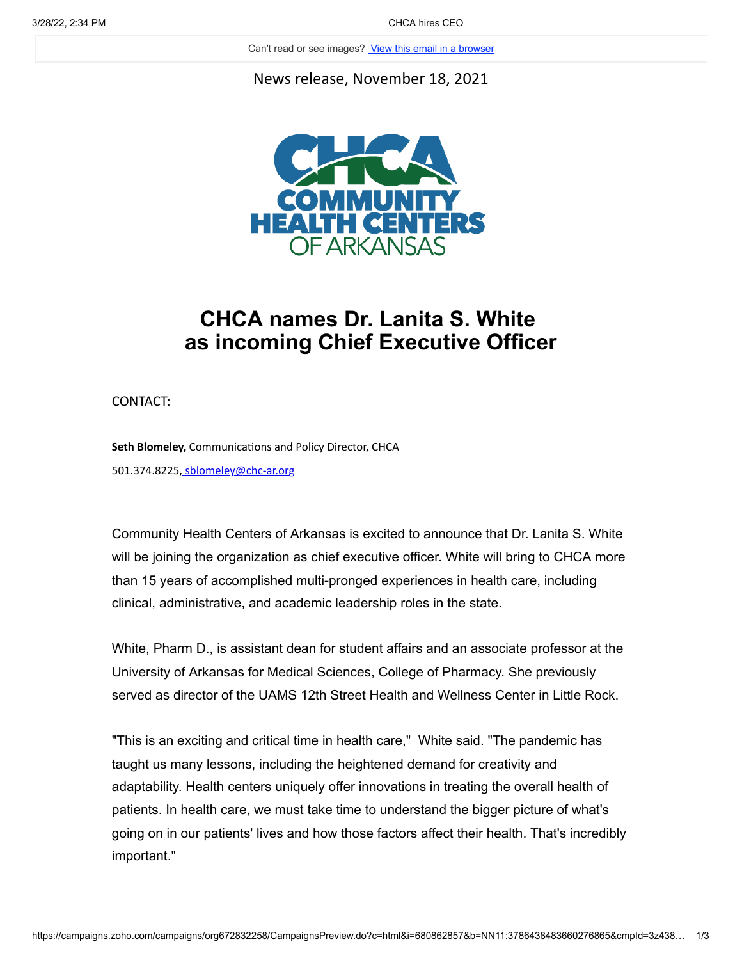Can't read or see images? View this email in a browser

News release, November 18, 2021



## **CHCA names Dr. Lanita S. White as incoming Chief Executive Officer**

CONTACT:

**Seth Blomeley,** Communications and Policy Director, CHCA 501.374.8225, [sblomeley@chc-ar.org](mailto:sblomeley@chc-ar.org?subject=)

Community Health Centers of Arkansas is excited to announce that Dr. Lanita S. White will be joining the organization as chief executive officer. White will bring to CHCA more than 15 years of accomplished multi-pronged experiences in health care, including clinical, administrative, and academic leadership roles in the state.

White, Pharm D., is assistant dean for student affairs and an associate professor at the University of Arkansas for Medical Sciences, College of Pharmacy. She previously served as director of the UAMS 12th Street Health and Wellness Center in Little Rock.

"This is an exciting and critical time in health care," White said. "The pandemic has taught us many lessons, including the heightened demand for creativity and adaptability. Health centers uniquely offer innovations in treating the overall health of patients. In health care, we must take time to understand the bigger picture of what's going on in our patients' lives and how those factors affect their health. That's incredibly important."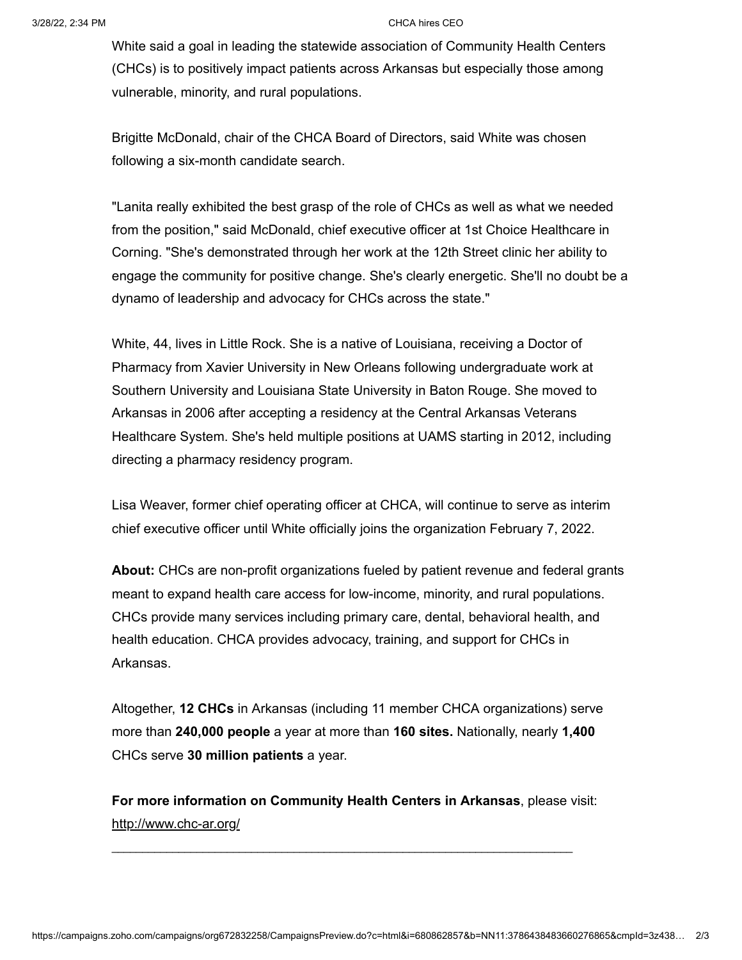White said a goal in leading the statewide association of Community Health Centers (CHCs) is to positively impact patients across Arkansas but especially those among vulnerable, minority, and rural populations.

Brigitte McDonald, chair of the CHCA Board of Directors, said White was chosen following a six-month candidate search.

"Lanita really exhibited the best grasp of the role of CHCs as well as what we needed from the position," said McDonald, chief executive officer at 1st Choice Healthcare in Corning. "She's demonstrated through her work at the 12th Street clinic her ability to engage the community for positive change. She's clearly energetic. She'll no doubt be a dynamo of leadership and advocacy for CHCs across the state."

White, 44, lives in Little Rock. She is a native of Louisiana, receiving a Doctor of Pharmacy from Xavier University in New Orleans following undergraduate work at Southern University and Louisiana State University in Baton Rouge. She moved to Arkansas in 2006 after accepting a residency at the Central Arkansas Veterans Healthcare System. She's held multiple positions at UAMS starting in 2012, including directing a pharmacy residency program.

Lisa Weaver, former chief operating officer at CHCA, will continue to serve as interim chief executive officer until White officially joins the organization February 7, 2022.

**About:** CHCs are non-profit organizations fueled by patient revenue and federal grants meant to expand health care access for low-income, minority, and rural populations. CHCs provide many services including primary care, dental, behavioral health, and health education. CHCA provides advocacy, training, and support for CHCs in Arkansas.

Altogether, **12 CHCs** in Arkansas (including 11 member CHCA organizations) serve more than **240,000 people** a year at more than **160 sites.** Nationally, nearly **1,400** CHCs serve **30 million patients** a year.

**For more information on Community Health Centers in Arkansas**, please visit: <http://www.chc-ar.org/>

 $\mathcal{L}_\mathcal{L} = \{ \mathcal{L}_\mathcal{L} = \{ \mathcal{L}_\mathcal{L} = \{ \mathcal{L}_\mathcal{L} = \{ \mathcal{L}_\mathcal{L} = \{ \mathcal{L}_\mathcal{L} = \{ \mathcal{L}_\mathcal{L} = \{ \mathcal{L}_\mathcal{L} = \{ \mathcal{L}_\mathcal{L} = \{ \mathcal{L}_\mathcal{L} = \{ \mathcal{L}_\mathcal{L} = \{ \mathcal{L}_\mathcal{L} = \{ \mathcal{L}_\mathcal{L} = \{ \mathcal{L}_\mathcal{L} = \{ \mathcal{L}_\mathcal{$